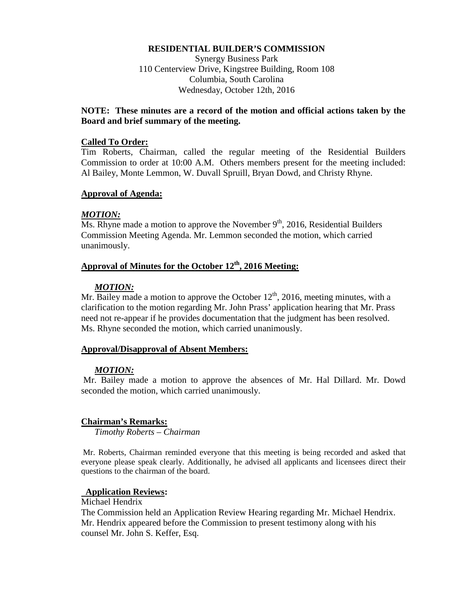## **RESIDENTIAL BUILDER'S COMMISSION**

Synergy Business Park 110 Centerview Drive, Kingstree Building, Room 108 Columbia, South Carolina Wednesday, October 12th, 2016

# **NOTE: These minutes are a record of the motion and official actions taken by the Board and brief summary of the meeting.**

#### **Called To Order:**

Tim Roberts, Chairman, called the regular meeting of the Residential Builders Commission to order at 10:00 A.M. Others members present for the meeting included: Al Bailey, Monte Lemmon, W. Duvall Spruill, Bryan Dowd, and Christy Rhyne.

## **Approval of Agenda:**

## *MOTION:*

Ms. Rhyne made a motion to approve the November  $9<sup>th</sup>$ , 2016, Residential Builders Commission Meeting Agenda. Mr. Lemmon seconded the motion, which carried unanimously.

# **Approval of Minutes for the October 12th, 2016 Meeting:**

## *MOTION:*

Mr. Bailey made a motion to approve the October  $12<sup>th</sup>$ , 2016, meeting minutes, with a clarification to the motion regarding Mr. John Prass' application hearing that Mr. Prass need not re-appear if he provides documentation that the judgment has been resolved. Ms. Rhyne seconded the motion, which carried unanimously.

# **Approval/Disapproval of Absent Members:**

#### *MOTION:*

Mr. Bailey made a motion to approve the absences of Mr. Hal Dillard. Mr. Dowd seconded the motion, which carried unanimously.

#### **Chairman's Remarks:**

*Timothy Roberts – Chairman*

Mr. Roberts, Chairman reminded everyone that this meeting is being recorded and asked that everyone please speak clearly. Additionally, he advised all applicants and licensees direct their questions to the chairman of the board.

# **Application Reviews:**

#### Michael Hendrix

The Commission held an Application Review Hearing regarding Mr. Michael Hendrix. Mr. Hendrix appeared before the Commission to present testimony along with his counsel Mr. John S. Keffer, Esq.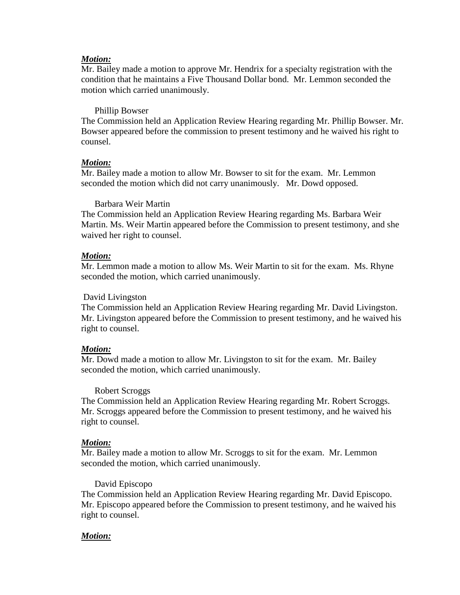# *Motion:*

Mr. Bailey made a motion to approve Mr. Hendrix for a specialty registration with the condition that he maintains a Five Thousand Dollar bond. Mr. Lemmon seconded the motion which carried unanimously.

## Phillip Bowser

The Commission held an Application Review Hearing regarding Mr. Phillip Bowser. Mr. Bowser appeared before the commission to present testimony and he waived his right to counsel.

## *Motion:*

Mr. Bailey made a motion to allow Mr. Bowser to sit for the exam. Mr. Lemmon seconded the motion which did not carry unanimously. Mr. Dowd opposed.

## Barbara Weir Martin

The Commission held an Application Review Hearing regarding Ms. Barbara Weir Martin. Ms. Weir Martin appeared before the Commission to present testimony, and she waived her right to counsel.

## *Motion:*

Mr. Lemmon made a motion to allow Ms. Weir Martin to sit for the exam. Ms. Rhyne seconded the motion, which carried unanimously.

#### David Livingston

The Commission held an Application Review Hearing regarding Mr. David Livingston. Mr. Livingston appeared before the Commission to present testimony, and he waived his right to counsel.

# *Motion:*

Mr. Dowd made a motion to allow Mr. Livingston to sit for the exam. Mr. Bailey seconded the motion, which carried unanimously.

# Robert Scroggs

The Commission held an Application Review Hearing regarding Mr. Robert Scroggs. Mr. Scroggs appeared before the Commission to present testimony, and he waived his right to counsel.

#### *Motion:*

Mr. Bailey made a motion to allow Mr. Scroggs to sit for the exam. Mr. Lemmon seconded the motion, which carried unanimously.

#### David Episcopo

The Commission held an Application Review Hearing regarding Mr. David Episcopo. Mr. Episcopo appeared before the Commission to present testimony, and he waived his right to counsel.

#### *Motion:*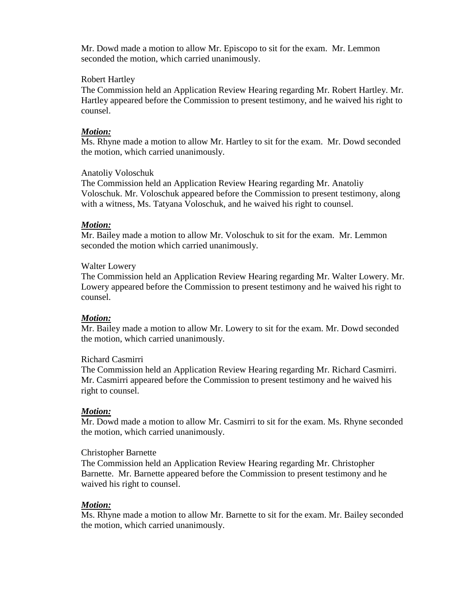Mr. Dowd made a motion to allow Mr. Episcopo to sit for the exam. Mr. Lemmon seconded the motion, which carried unanimously.

## Robert Hartley

The Commission held an Application Review Hearing regarding Mr. Robert Hartley. Mr. Hartley appeared before the Commission to present testimony, and he waived his right to counsel.

## *Motion:*

Ms. Rhyne made a motion to allow Mr. Hartley to sit for the exam. Mr. Dowd seconded the motion, which carried unanimously.

## Anatoliy Voloschuk

The Commission held an Application Review Hearing regarding Mr. Anatoliy Voloschuk. Mr. Voloschuk appeared before the Commission to present testimony, along with a witness, Ms. Tatyana Voloschuk, and he waived his right to counsel.

## *Motion:*

Mr. Bailey made a motion to allow Mr. Voloschuk to sit for the exam. Mr. Lemmon seconded the motion which carried unanimously.

## Walter Lowery

The Commission held an Application Review Hearing regarding Mr. Walter Lowery. Mr. Lowery appeared before the Commission to present testimony and he waived his right to counsel.

# *Motion:*

Mr. Bailey made a motion to allow Mr. Lowery to sit for the exam. Mr. Dowd seconded the motion, which carried unanimously.

# Richard Casmirri

The Commission held an Application Review Hearing regarding Mr. Richard Casmirri. Mr. Casmirri appeared before the Commission to present testimony and he waived his right to counsel.

# *Motion:*

Mr. Dowd made a motion to allow Mr. Casmirri to sit for the exam. Ms. Rhyne seconded the motion, which carried unanimously.

#### Christopher Barnette

The Commission held an Application Review Hearing regarding Mr. Christopher Barnette. Mr. Barnette appeared before the Commission to present testimony and he waived his right to counsel.

# *Motion:*

Ms. Rhyne made a motion to allow Mr. Barnette to sit for the exam. Mr. Bailey seconded the motion, which carried unanimously.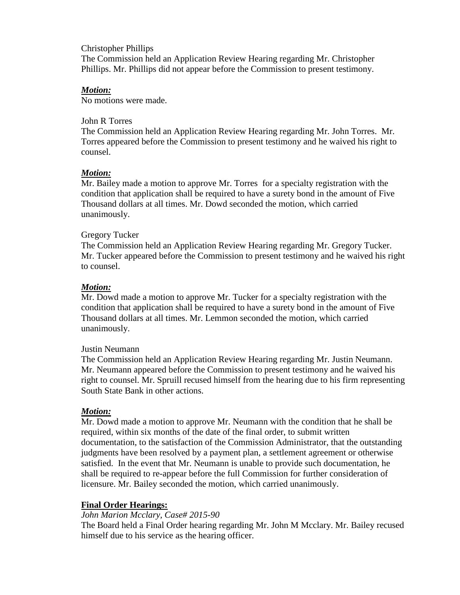# Christopher Phillips

The Commission held an Application Review Hearing regarding Mr. Christopher Phillips. Mr. Phillips did not appear before the Commission to present testimony.

# *Motion:*

No motions were made.

## John R Torres

The Commission held an Application Review Hearing regarding Mr. John Torres. Mr. Torres appeared before the Commission to present testimony and he waived his right to counsel.

# *Motion:*

Mr. Bailey made a motion to approve Mr. Torres for a specialty registration with the condition that application shall be required to have a surety bond in the amount of Five Thousand dollars at all times. Mr. Dowd seconded the motion, which carried unanimously.

# Gregory Tucker

The Commission held an Application Review Hearing regarding Mr. Gregory Tucker. Mr. Tucker appeared before the Commission to present testimony and he waived his right to counsel.

# *Motion:*

Mr. Dowd made a motion to approve Mr. Tucker for a specialty registration with the condition that application shall be required to have a surety bond in the amount of Five Thousand dollars at all times. Mr. Lemmon seconded the motion, which carried unanimously.

# Justin Neumann

The Commission held an Application Review Hearing regarding Mr. Justin Neumann. Mr. Neumann appeared before the Commission to present testimony and he waived his right to counsel. Mr. Spruill recused himself from the hearing due to his firm representing South State Bank in other actions.

# *Motion:*

Mr. Dowd made a motion to approve Mr. Neumann with the condition that he shall be required, within six months of the date of the final order, to submit written documentation, to the satisfaction of the Commission Administrator, that the outstanding judgments have been resolved by a payment plan, a settlement agreement or otherwise satisfied. In the event that Mr. Neumann is unable to provide such documentation, he shall be required to re-appear before the full Commission for further consideration of licensure. Mr. Bailey seconded the motion, which carried unanimously.

# **Final Order Hearings:**

# *John Marion Mcclary, Case# 2015-90*

The Board held a Final Order hearing regarding Mr. John M Mcclary. Mr. Bailey recused himself due to his service as the hearing officer.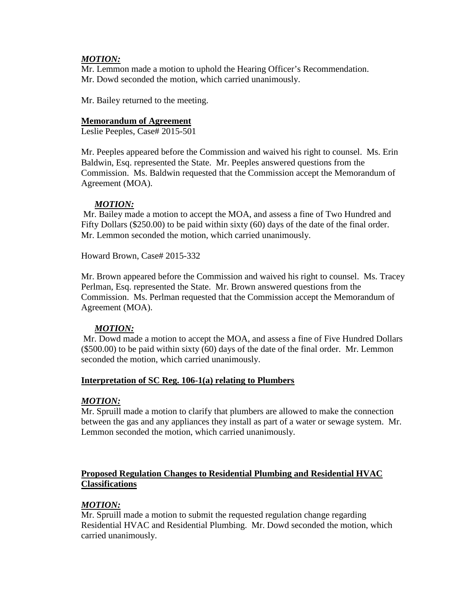# *MOTION:*

Mr. Lemmon made a motion to uphold the Hearing Officer's Recommendation. Mr. Dowd seconded the motion, which carried unanimously.

Mr. Bailey returned to the meeting.

# **Memorandum of Agreement**

Leslie Peeples, Case# 2015-501

Mr. Peeples appeared before the Commission and waived his right to counsel. Ms. Erin Baldwin, Esq. represented the State. Mr. Peeples answered questions from the Commission. Ms. Baldwin requested that the Commission accept the Memorandum of Agreement (MOA).

# *MOTION:*

Mr. Bailey made a motion to accept the MOA, and assess a fine of Two Hundred and Fifty Dollars (\$250.00) to be paid within sixty (60) days of the date of the final order. Mr. Lemmon seconded the motion, which carried unanimously.

Howard Brown, Case# 2015-332

Mr. Brown appeared before the Commission and waived his right to counsel. Ms. Tracey Perlman, Esq. represented the State. Mr. Brown answered questions from the Commission. Ms. Perlman requested that the Commission accept the Memorandum of Agreement (MOA).

# *MOTION:*

Mr. Dowd made a motion to accept the MOA, and assess a fine of Five Hundred Dollars (\$500.00) to be paid within sixty (60) days of the date of the final order. Mr. Lemmon seconded the motion, which carried unanimously.

# **Interpretation of SC Reg. 106-1(a) relating to Plumbers**

# *MOTION:*

Mr. Spruill made a motion to clarify that plumbers are allowed to make the connection between the gas and any appliances they install as part of a water or sewage system. Mr. Lemmon seconded the motion, which carried unanimously.

# **Proposed Regulation Changes to Residential Plumbing and Residential HVAC Classifications**

# *MOTION:*

Mr. Spruill made a motion to submit the requested regulation change regarding Residential HVAC and Residential Plumbing. Mr. Dowd seconded the motion, which carried unanimously.